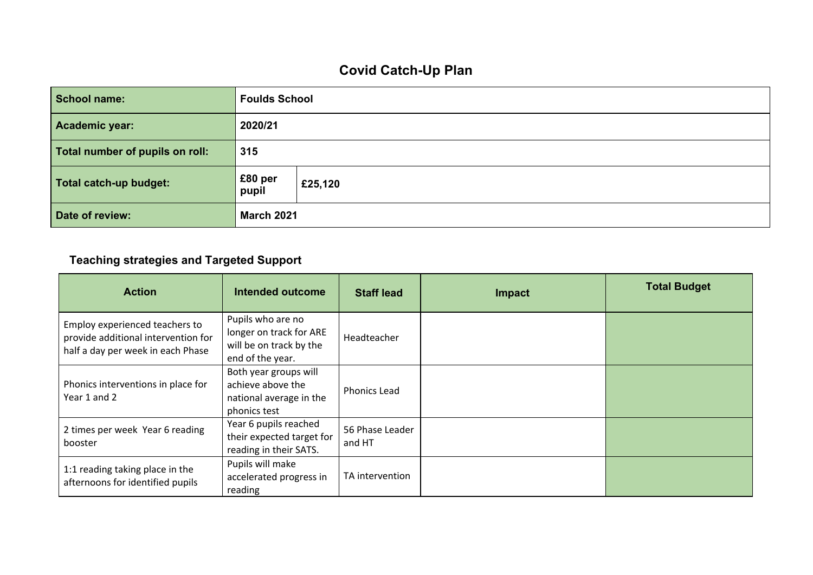## **Covid Catch-Up Plan**

| <b>School name:</b>             | <b>Foulds School</b> |         |  |
|---------------------------------|----------------------|---------|--|
| Academic year:                  | 2020/21              |         |  |
| Total number of pupils on roll: | 315                  |         |  |
| Total catch-up budget:          | £80 per<br>pupil     | £25,120 |  |
| Date of review:                 | <b>March 2021</b>    |         |  |

## **Teaching strategies and Targeted Support**

| <b>Action</b>                                                                                              | Intended outcome                                                                            | <b>Staff lead</b>         | <b>Impact</b> | <b>Total Budget</b> |
|------------------------------------------------------------------------------------------------------------|---------------------------------------------------------------------------------------------|---------------------------|---------------|---------------------|
| Employ experienced teachers to<br>provide additional intervention for<br>half a day per week in each Phase | Pupils who are no<br>longer on track for ARE<br>will be on track by the<br>end of the year. | Headteacher               |               |                     |
| Phonics interventions in place for<br>Year 1 and 2                                                         | Both year groups will<br>achieve above the<br>national average in the<br>phonics test       | <b>Phonics Lead</b>       |               |                     |
| 2 times per week Year 6 reading<br>booster                                                                 | Year 6 pupils reached<br>their expected target for<br>reading in their SATS.                | 56 Phase Leader<br>and HT |               |                     |
| 1:1 reading taking place in the<br>afternoons for identified pupils                                        | Pupils will make<br>accelerated progress in<br>reading                                      | TA intervention           |               |                     |